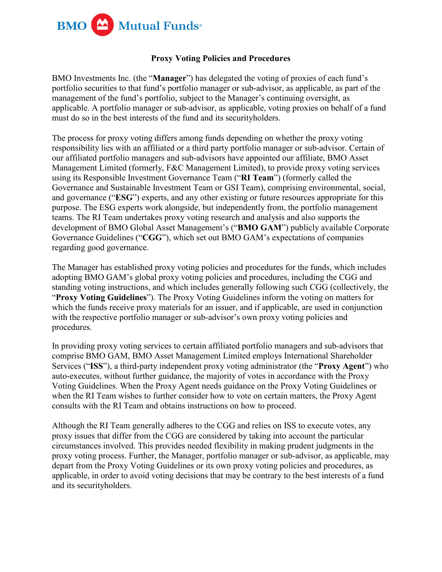

## **Proxy Voting Policies and Procedures**

BMO Investments Inc. (the "**Manager**") has delegated the voting of proxies of each fund's portfolio securities to that fund's portfolio manager or sub-advisor, as applicable, as part of the management of the fund's portfolio, subject to the Manager's continuing oversight, as applicable. A portfolio manager or sub-advisor, as applicable, voting proxies on behalf of a fund must do so in the best interests of the fund and its securityholders.

The process for proxy voting differs among funds depending on whether the proxy voting responsibility lies with an affiliated or a third party portfolio manager or sub-advisor. Certain of our affiliated portfolio managers and sub-advisors have appointed our affiliate, BMO Asset Management Limited (formerly, F&C Management Limited), to provide proxy voting services using its Responsible Investment Governance Team ("**RI Team**") (formerly called the Governance and Sustainable Investment Team or GSI Team), comprising environmental, social, and governance ("**ESG**") experts, and any other existing or future resources appropriate for this purpose. The ESG experts work alongside, but independently from, the portfolio management teams. The RI Team undertakes proxy voting research and analysis and also supports the development of BMO Global Asset Management's ("**BMO GAM**") publicly available Corporate Governance Guidelines ("**CGG**"), which set out BMO GAM's expectations of companies regarding good governance.

The Manager has established proxy voting policies and procedures for the funds, which includes adopting BMO GAM's global proxy voting policies and procedures, including the CGG and standing voting instructions, and which includes generally following such CGG (collectively, the "**Proxy Voting Guidelines**"). The Proxy Voting Guidelines inform the voting on matters for which the funds receive proxy materials for an issuer, and if applicable, are used in conjunction with the respective portfolio manager or sub-advisor's own proxy voting policies and procedures.

In providing proxy voting services to certain affiliated portfolio managers and sub-advisors that comprise BMO GAM, BMO Asset Management Limited employs International Shareholder Services ("**ISS**"), a third-party independent proxy voting administrator (the "**Proxy Agent**") who auto-executes, without further guidance, the majority of votes in accordance with the Proxy Voting Guidelines. When the Proxy Agent needs guidance on the Proxy Voting Guidelines or when the RI Team wishes to further consider how to vote on certain matters, the Proxy Agent consults with the RI Team and obtains instructions on how to proceed.

Although the RI Team generally adheres to the CGG and relies on ISS to execute votes, any proxy issues that differ from the CGG are considered by taking into account the particular circumstances involved. This provides needed flexibility in making prudent judgments in the proxy voting process. Further, the Manager, portfolio manager or sub-advisor, as applicable, may depart from the Proxy Voting Guidelines or its own proxy voting policies and procedures, as applicable, in order to avoid voting decisions that may be contrary to the best interests of a fund and its securityholders.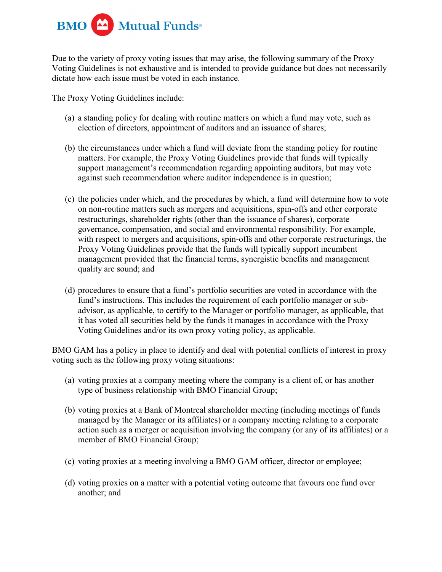

Due to the variety of proxy voting issues that may arise, the following summary of the Proxy Voting Guidelines is not exhaustive and is intended to provide guidance but does not necessarily dictate how each issue must be voted in each instance.

The Proxy Voting Guidelines include:

- (a) a standing policy for dealing with routine matters on which a fund may vote, such as election of directors, appointment of auditors and an issuance of shares;
- (b) the circumstances under which a fund will deviate from the standing policy for routine matters. For example, the Proxy Voting Guidelines provide that funds will typically support management's recommendation regarding appointing auditors, but may vote against such recommendation where auditor independence is in question;
- (c) the policies under which, and the procedures by which, a fund will determine how to vote on non-routine matters such as mergers and acquisitions, spin-offs and other corporate restructurings, shareholder rights (other than the issuance of shares), corporate governance, compensation, and social and environmental responsibility. For example, with respect to mergers and acquisitions, spin-offs and other corporate restructurings, the Proxy Voting Guidelines provide that the funds will typically support incumbent management provided that the financial terms, synergistic benefits and management quality are sound; and
- (d) procedures to ensure that a fund's portfolio securities are voted in accordance with the fund's instructions. This includes the requirement of each portfolio manager or subadvisor, as applicable, to certify to the Manager or portfolio manager, as applicable, that it has voted all securities held by the funds it manages in accordance with the Proxy Voting Guidelines and/or its own proxy voting policy, as applicable.

BMO GAM has a policy in place to identify and deal with potential conflicts of interest in proxy voting such as the following proxy voting situations:

- (a) voting proxies at a company meeting where the company is a client of, or has another type of business relationship with BMO Financial Group;
- (b) voting proxies at a Bank of Montreal shareholder meeting (including meetings of funds managed by the Manager or its affiliates) or a company meeting relating to a corporate action such as a merger or acquisition involving the company (or any of its affiliates) or a member of BMO Financial Group;
- (c) voting proxies at a meeting involving a BMO GAM officer, director or employee;
- (d) voting proxies on a matter with a potential voting outcome that favours one fund over another; and